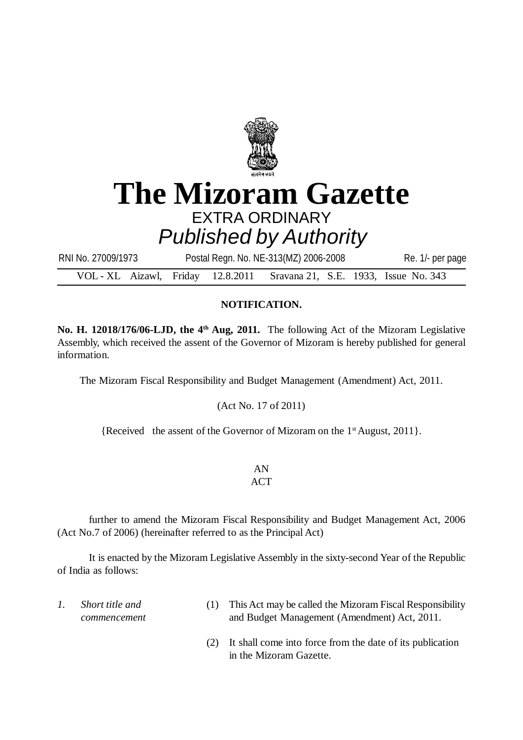

## **The Mizoram Gazette** EXTRA ORDINARY *Published by Authority*

VOL - XL Aizawl, Friday 12.8.2011 Sravana 21, S.E. 1933, Issue No. 343 RNI No. 27009/1973 Postal Regn. No. NE-313(MZ) 2006-2008 Re. 1/- per page

## **NOTIFICATION.**

**No. H. 12018/176/06-LJD, the 4th Aug, 2011.** The following Act of the Mizoram Legislative Assembly, which received the assent of the Governor of Mizoram is hereby published for general information.

The Mizoram Fiscal Responsibility and Budget Management (Amendment) Act, 2011.

(Act No. 17 of 2011)

{Received the assent of the Governor of Mizoram on the  $1<sup>st</sup>$  August, 2011}.

## AN

## **ACT**

further to amend the Mizoram Fiscal Responsibility and Budget Management Act, 2006 (Act No.7 of 2006) (hereinafter referred to as the Principal Act)

It is enacted by the Mizoram Legislative Assembly in the sixty-second Year of the Republic of India as follows:

- *1. Short title and commencement* (1) This Act may be called the Mizoram Fiscal Responsibility and Budget Management (Amendment) Act, 2011.
	- (2) It shall come into force from the date of its publication in the Mizoram Gazette.